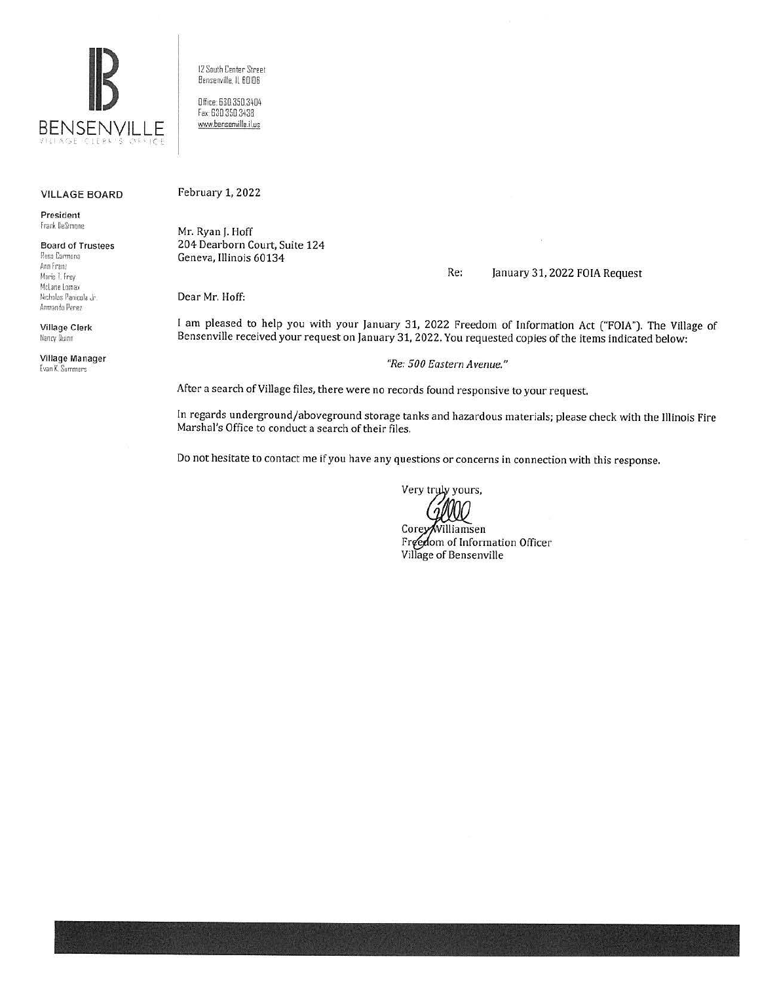

12 South Center Street Bensenville, IL 60106

Office: 630.350.3404 Fax: 630 350 3438 www.bensenville.il.us

## **VILLAGE BOARD**

President Frank DeSimone

## **Board of Trustees** Rosa Carmona Ann Franz Marie T. Frey McLane Lomax

Nicholas Panicola Jr. Armando Perez

**Village Clerk** Nancy Duinn

Village Manager Evan K. Summers

February 1, 2022

Mr. Ryan J. Hoff 204 Dearborn Court, Suite 124 Geneva, Illinois 60134

Re: January 31, 2022 FOIA Request

Dear Mr. Hoff:

I am pleased to help you with your January 31, 2022 Freedom of Information Act ("FOIA"). The Village of Bensenville received your request on January 31, 2022. You requested copies of the items indicated below:

"Re: 500 Eastern Avenue."

After a search of Village files, there were no records found responsive to your request.

In regards underground/aboveground storage tanks and hazardous materials; please check with the Illinois Fire Marshal's Office to conduct a search of their files.

Do not hesitate to contact me if you have any questions or concerns in connection with this response.

Very tryly yours,

Corey/Williamsen Freedom of Information Officer Village of Bensenville